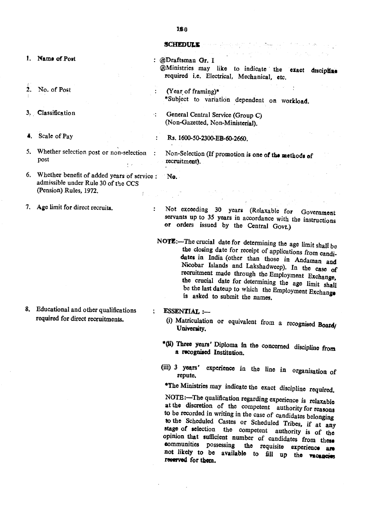## **SCHEDULE** proceeding and the proceeding

- 1. Name of Post
- $2.$ No. of Post
- 3. Classification
- 4. Scale of Pay
- , 5. Whether selection post or non-selection post  $\epsilon$
- 6. Whether benefit of added years of service: No. admissible under Rule 30 of the CCS (pension) Rules, 1972.  $\pm$
- 7. Age limit for direct recruits.

8. Educational and other qualifications required for direct recruitments.

@Draftsman Gr. I  $\omega$  Ministries may like to indicate the exact disciple required i.e. Electrical, Mechanical, etc.

 $\mathcal{L}^{\mathcal{A}}$  , we define the  $\mathcal{L}^{\mathcal{A}}$ 

- $\mathbb{R}^{n \times n}$ (Year of framing) \*Subject to variation dependent on workloa
- : General Central Service (Group C) (Non-Gazetted, Non-Ministerial).

Rs. 1600-50-2300-EB-60-2660.

Non-Selection (If promotion is one of the methods of recruitment).

- Not exceeding 30 years (Relaxable for Government  $\ddot{\bullet}$ servants up to 35 years in accordance with the instructions or orders issued by the Central Govt.)
- NOTE:-The crucial date for determining the age limit shall be the closing date for receipt of applications from candidates in India (other than those in Andaman and Nicobar Islands and Lakshadweep). In the case of recruitment made through the Employment Exchange. the crucial date for determining the age limit shall be the last dateup to which the Employment Exchange is asked to submit the names.
- ESSENTIAL :-
	- (i) Matriculation or equivalent from a recognised Board University.
	- \*(ti) Three years' Diploma in the concerned discipline from a recognised Institution.
	- (iii) 3 years' experience in the line in organisation of repute.

·The Ministries may indicate the exact discipline required.

NOTE:-The qualification regarding experience is relaxable at the discretion of the competent authority for reasons to be recorded in writing in the case of candidates belonging to the Scheduled Castes or Scheduled Tribes, if at any stage of selection the competent authority is of the opinion that sufficient number of candidates from theae communities possessing the requisite experience are not likely to be available to fill up the filence are I'd allowed for them.